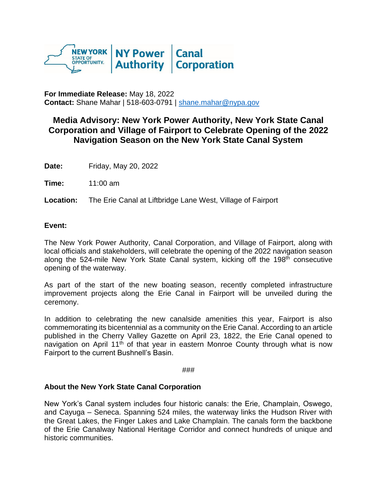

**For Immediate Release:** May 18, 2022 **Contact:** Shane Mahar | 518-603-0791 | [shane.mahar@nypa.gov](mailto:shane.mahar@nypa.gov)

## **Media Advisory: New York Power Authority, New York State Canal Corporation and Village of Fairport to Celebrate Opening of the 2022 Navigation Season on the New York State Canal System**

**Date:** Friday, May 20, 2022

**Time:** 11:00 am

**Location:** The Erie Canal at Liftbridge Lane West, Village of Fairport

## **Event:**

The New York Power Authority, Canal Corporation, and Village of Fairport, along with local officials and stakeholders, will celebrate the opening of the 2022 navigation season along the 524-mile New York State Canal system, kicking off the 198<sup>th</sup> consecutive opening of the waterway.

As part of the start of the new boating season, recently completed infrastructure improvement projects along the Erie Canal in Fairport will be unveiled during the ceremony.

In addition to celebrating the new canalside amenities this year, Fairport is also commemorating its bicentennial as a community on the Erie Canal. According to an article published in the Cherry Valley Gazette on April 23, 1822, the Erie Canal opened to navigation on April 11<sup>th</sup> of that year in eastern Monroe County through what is now Fairport to the current Bushnell's Basin.

###

## **About the New York State Canal Corporation**

New York's Canal system includes four historic canals: the Erie, Champlain, Oswego, and Cayuga – Seneca. Spanning 524 miles, the waterway links the Hudson River with the Great Lakes, the Finger Lakes and Lake Champlain. The canals form the backbone of the Erie Canalway National Heritage Corridor and connect hundreds of unique and historic communities.